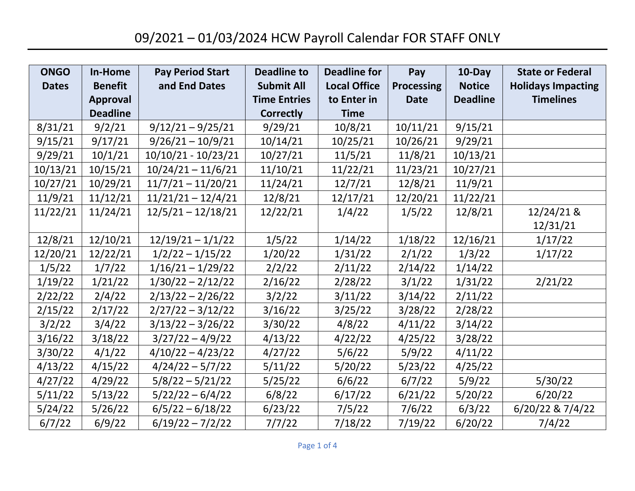| <b>ONGO</b>  | In-Home         | <b>Pay Period Start</b> | <b>Deadline to</b>  | <b>Deadline for</b> | Pay               | 10-Day          | <b>State or Federal</b>   |
|--------------|-----------------|-------------------------|---------------------|---------------------|-------------------|-----------------|---------------------------|
| <b>Dates</b> | <b>Benefit</b>  | and End Dates           | <b>Submit All</b>   | <b>Local Office</b> | <b>Processing</b> | <b>Notice</b>   | <b>Holidays Impacting</b> |
|              | <b>Approval</b> |                         | <b>Time Entries</b> | to Enter in         | <b>Date</b>       | <b>Deadline</b> | <b>Timelines</b>          |
|              | <b>Deadline</b> |                         | <b>Correctly</b>    | <b>Time</b>         |                   |                 |                           |
| 8/31/21      | 9/2/21          | $9/12/21 - 9/25/21$     | 9/29/21             | 10/8/21             | 10/11/21          | 9/15/21         |                           |
| 9/15/21      | 9/17/21         | $9/26/21 - 10/9/21$     | 10/14/21            | 10/25/21            | 10/26/21          | 9/29/21         |                           |
| 9/29/21      | 10/1/21         | $10/10/21 - 10/23/21$   | 10/27/21            | 11/5/21             | 11/8/21           | 10/13/21        |                           |
| 10/13/21     | 10/15/21        | $10/24/21 - 11/6/21$    | 11/10/21            | 11/22/21            | 11/23/21          | 10/27/21        |                           |
| 10/27/21     | 10/29/21        | $11/7/21 - 11/20/21$    | 11/24/21            | 12/7/21             | 12/8/21           | 11/9/21         |                           |
| 11/9/21      | 11/12/21        | $11/21/21 - 12/4/21$    | 12/8/21             | 12/17/21            | 12/20/21          | 11/22/21        |                           |
| 11/22/21     | 11/24/21        | $12/5/21 - 12/18/21$    | 12/22/21            | 1/4/22              | 1/5/22            | 12/8/21         | 12/24/21 &                |
|              |                 |                         |                     |                     |                   |                 | 12/31/21                  |
| 12/8/21      | 12/10/21        | $12/19/21 - 1/1/22$     | 1/5/22              | 1/14/22             | 1/18/22           | 12/16/21        | 1/17/22                   |
| 12/20/21     | 12/22/21        | $1/2/22 - 1/15/22$      | 1/20/22             | 1/31/22             | 2/1/22            | 1/3/22          | 1/17/22                   |
| 1/5/22       | 1/7/22          | $1/16/21 - 1/29/22$     | 2/2/22              | 2/11/22             | 2/14/22           | 1/14/22         |                           |
| 1/19/22      | 1/21/22         | $1/30/22 - 2/12/22$     | 2/16/22             | 2/28/22             | 3/1/22            | 1/31/22         | 2/21/22                   |
| 2/22/22      | 2/4/22          | $2/13/22 - 2/26/22$     | 3/2/22              | 3/11/22             | 3/14/22           | 2/11/22         |                           |
| 2/15/22      | 2/17/22         | $2/27/22 - 3/12/22$     | 3/16/22             | 3/25/22             | 3/28/22           | 2/28/22         |                           |
| 3/2/22       | 3/4/22          | $3/13/22 - 3/26/22$     | 3/30/22             | 4/8/22              | 4/11/22           | 3/14/22         |                           |
| 3/16/22      | 3/18/22         | $3/27/22 - 4/9/22$      | 4/13/22             | 4/22/22             | 4/25/22           | 3/28/22         |                           |
| 3/30/22      | 4/1/22          | $4/10/22 - 4/23/22$     | 4/27/22             | 5/6/22              | 5/9/22            | 4/11/22         |                           |
| 4/13/22      | 4/15/22         | $4/24/22 - 5/7/22$      | 5/11/22             | 5/20/22             | 5/23/22           | 4/25/22         |                           |
| 4/27/22      | 4/29/22         | $5/8/22 - 5/21/22$      | 5/25/22             | 6/6/22              | 6/7/22            | 5/9/22          | 5/30/22                   |
| 5/11/22      | 5/13/22         | $5/22/22 - 6/4/22$      | 6/8/22              | 6/17/22             | 6/21/22           | 5/20/22         | 6/20/22                   |
| 5/24/22      | 5/26/22         | $6/5/22 - 6/18/22$      | 6/23/22             | 7/5/22              | 7/6/22            | 6/3/22          | 6/20/22 & 7/4/22          |
| 6/7/22       | 6/9/22          | $6/19/22 - 7/2/22$      | 7/7/22              | 7/18/22             | 7/19/22           | 6/20/22         | 7/4/22                    |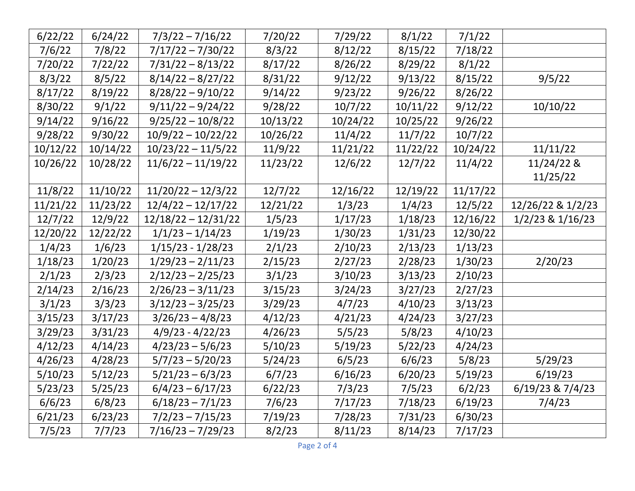| 6/22/22  | 6/24/22  | $7/3/22 - 7/16/22$    | 7/20/22  | 7/29/22  | 8/1/22   | 7/1/22   |                      |
|----------|----------|-----------------------|----------|----------|----------|----------|----------------------|
| 7/6/22   | 7/8/22   | $7/17/22 - 7/30/22$   | 8/3/22   | 8/12/22  | 8/15/22  | 7/18/22  |                      |
| 7/20/22  | 7/22/22  | $7/31/22 - 8/13/22$   | 8/17/22  | 8/26/22  | 8/29/22  | 8/1/22   |                      |
| 8/3/22   | 8/5/22   | $8/14/22 - 8/27/22$   | 8/31/22  | 9/12/22  | 9/13/22  | 8/15/22  | 9/5/22               |
| 8/17/22  | 8/19/22  | $8/28/22 - 9/10/22$   | 9/14/22  | 9/23/22  | 9/26/22  | 8/26/22  |                      |
| 8/30/22  | 9/1/22   | $9/11/22 - 9/24/22$   | 9/28/22  | 10/7/22  | 10/11/22 | 9/12/22  | 10/10/22             |
| 9/14/22  | 9/16/22  | $9/25/22 - 10/8/22$   | 10/13/22 | 10/24/22 | 10/25/22 | 9/26/22  |                      |
| 9/28/22  | 9/30/22  | $10/9/22 - 10/22/22$  | 10/26/22 | 11/4/22  | 11/7/22  | 10/7/22  |                      |
| 10/12/22 | 10/14/22 | $10/23/22 - 11/5/22$  | 11/9/22  | 11/21/22 | 11/22/22 | 10/24/22 | 11/11/22             |
| 10/26/22 | 10/28/22 | $11/6/22 - 11/19/22$  | 11/23/22 | 12/6/22  | 12/7/22  | 11/4/22  | 11/24/22 &           |
|          |          |                       |          |          |          |          | 11/25/22             |
| 11/8/22  | 11/10/22 | $11/20/22 - 12/3/22$  | 12/7/22  | 12/16/22 | 12/19/22 | 11/17/22 |                      |
| 11/21/22 | 11/23/22 | $12/4/22 - 12/17/22$  | 12/21/22 | 1/3/23   | 1/4/23   | 12/5/22  | 12/26/22 & 1/2/23    |
| 12/7/22  | 12/9/22  | $12/18/22 - 12/31/22$ | 1/5/23   | 1/17/23  | 1/18/23  | 12/16/22 | $1/2/23$ & $1/16/23$ |
| 12/20/22 | 12/22/22 | $1/1/23 - 1/14/23$    | 1/19/23  | 1/30/23  | 1/31/23  | 12/30/22 |                      |
| 1/4/23   | 1/6/23   | $1/15/23 - 1/28/23$   | 2/1/23   | 2/10/23  | 2/13/23  | 1/13/23  |                      |
| 1/18/23  | 1/20/23  | $1/29/23 - 2/11/23$   | 2/15/23  | 2/27/23  | 2/28/23  | 1/30/23  | 2/20/23              |
| 2/1/23   | 2/3/23   | $2/12/23 - 2/25/23$   | 3/1/23   | 3/10/23  | 3/13/23  | 2/10/23  |                      |
| 2/14/23  | 2/16/23  | $2/26/23 - 3/11/23$   | 3/15/23  | 3/24/23  | 3/27/23  | 2/27/23  |                      |
| 3/1/23   | 3/3/23   | $3/12/23 - 3/25/23$   | 3/29/23  | 4/7/23   | 4/10/23  | 3/13/23  |                      |
| 3/15/23  | 3/17/23  | $3/26/23 - 4/8/23$    | 4/12/23  | 4/21/23  | 4/24/23  | 3/27/23  |                      |
| 3/29/23  | 3/31/23  | $4/9/23 - 4/22/23$    | 4/26/23  | 5/5/23   | 5/8/23   | 4/10/23  |                      |
| 4/12/23  | 4/14/23  | $4/23/23 - 5/6/23$    | 5/10/23  | 5/19/23  | 5/22/23  | 4/24/23  |                      |
| 4/26/23  | 4/28/23  | $5/7/23 - 5/20/23$    | 5/24/23  | 6/5/23   | 6/6/23   | 5/8/23   | 5/29/23              |
| 5/10/23  | 5/12/23  | $5/21/23 - 6/3/23$    | 6/7/23   | 6/16/23  | 6/20/23  | 5/19/23  | 6/19/23              |
| 5/23/23  | 5/25/23  | $6/4/23 - 6/17/23$    | 6/22/23  | 7/3/23   | 7/5/23   | 6/2/23   | 6/19/23 & 7/4/23     |
| 6/6/23   | 6/8/23   | $6/18/23 - 7/1/23$    | 7/6/23   | 7/17/23  | 7/18/23  | 6/19/23  | 7/4/23               |
| 6/21/23  | 6/23/23  | $7/2/23 - 7/15/23$    | 7/19/23  | 7/28/23  | 7/31/23  | 6/30/23  |                      |
| 7/5/23   | 7/7/23   | $7/16/23 - 7/29/23$   | 8/2/23   | 8/11/23  | 8/14/23  | 7/17/23  |                      |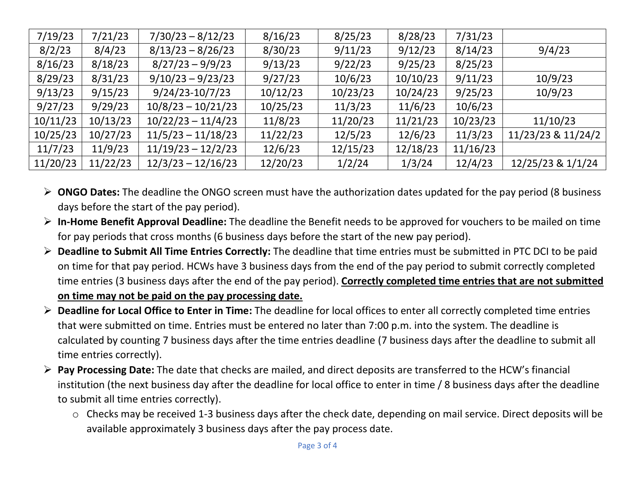| 7/19/23  | 7/21/23  | $7/30/23 - 8/12/23$  | 8/16/23  | 8/25/23  | 8/28/23  | 7/31/23  |                    |
|----------|----------|----------------------|----------|----------|----------|----------|--------------------|
| 8/2/23   | 8/4/23   | $8/13/23 - 8/26/23$  | 8/30/23  | 9/11/23  | 9/12/23  | 8/14/23  | 9/4/23             |
| 8/16/23  | 8/18/23  | $8/27/23 - 9/9/23$   | 9/13/23  | 9/22/23  | 9/25/23  | 8/25/23  |                    |
| 8/29/23  | 8/31/23  | $9/10/23 - 9/23/23$  | 9/27/23  | 10/6/23  | 10/10/23 | 9/11/23  | 10/9/23            |
| 9/13/23  | 9/15/23  | $9/24/23-10/7/23$    | 10/12/23 | 10/23/23 | 10/24/23 | 9/25/23  | 10/9/23            |
| 9/27/23  | 9/29/23  | $10/8/23 - 10/21/23$ | 10/25/23 | 11/3/23  | 11/6/23  | 10/6/23  |                    |
| 10/11/23 | 10/13/23 | $10/22/23 - 11/4/23$ | 11/8/23  | 11/20/23 | 11/21/23 | 10/23/23 | 11/10/23           |
| 10/25/23 | 10/27/23 | $11/5/23 - 11/18/23$ | 11/22/23 | 12/5/23  | 12/6/23  | 11/3/23  | 11/23/23 & 11/24/2 |
| 11/7/23  | 11/9/23  | $11/19/23 - 12/2/23$ | 12/6/23  | 12/15/23 | 12/18/23 | 11/16/23 |                    |
| 11/20/23 | 11/22/23 | $12/3/23 - 12/16/23$ | 12/20/23 | 1/2/24   | 1/3/24   | 12/4/23  | 12/25/23 & 1/1/24  |

- ➢ **ONGO Dates:** The deadline the ONGO screen must have the authorization dates updated for the pay period (8 business days before the start of the pay period).
- ➢ **In-Home Benefit Approval Deadline:** The deadline the Benefit needs to be approved for vouchers to be mailed on time for pay periods that cross months (6 business days before the start of the new pay period).
- ➢ **Deadline to Submit All Time Entries Correctly:** The deadline that time entries must be submitted in PTC DCI to be paid on time for that pay period. HCWs have 3 business days from the end of the pay period to submit correctly completed time entries (3 business days after the end of the pay period). **Correctly completed time entries that are not submitted on time may not be paid on the pay processing date.**
- ➢ **Deadline for Local Office to Enter in Time:** The deadline for local offices to enter all correctly completed time entries that were submitted on time. Entries must be entered no later than 7:00 p.m. into the system. The deadline is calculated by counting 7 business days after the time entries deadline (7 business days after the deadline to submit all time entries correctly).
- ➢ **Pay Processing Date:** The date that checks are mailed, and direct deposits are transferred to the HCW's financial institution (the next business day after the deadline for local office to enter in time / 8 business days after the deadline to submit all time entries correctly).
	- o Checks may be received 1-3 business days after the check date, depending on mail service. Direct deposits will be available approximately 3 business days after the pay process date.